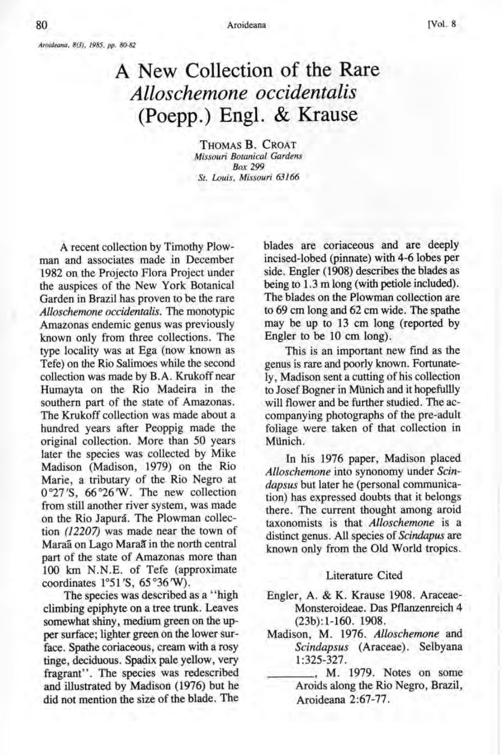*Aroideana,* 8(3), 1985, *pp. 80-82* 

## A New Collection of the Rare *Alloschemone occidentalis*  (Poepp.) Engl. & Krause

THOMAS B. CROAT *Missouri Botanical Gardens Box 299 St. Louis, Missouri 63166* 

A recent collection by Timothy Plowman and associates made in December 1982 on the Projecto Flora Project under the auspices of the New York Botanical Garden in Brazil has proven to be the rare *Alloschemone occidentalis.* The monotypic Amazonas endemic genus was previously known only from three collections. The type locality was at Ega (now known as Tefe) on the Rio Salimoes while the second collection was made by B.A. Krukoff near Humayta on the Rio Madeira in the southern part of the state of Amazonas. The Krukoff collection was made about a hundred years after Peoppig made the original collection. More than 50 years later the species was collected by Mike Madison (Madison, 1979) on the Rio Marie, a tributary of the Rio Negro at 0°27 'S, 66 °26 'W. The new collection from still another river system, was made on the Rio Japura. The Plowman collection (12207) was made near the town of Maraa on Lago Maraa in the north central part of the state of Amazonas more than 100 km N.N.E. of Tefe (approximate coordinates 1°51 'S, 65 °36 'W).

The species was described as a "high climbing epiphyte on a tree trunk. Leaves somewhat shiny, medium green on the upper surface; lighter green on the lower surface. Spathe coriaceous, cream with a rosy tinge, deciduous. Spadix pale yellow, very fragrant". The species was redescribed and illustrated by Madison (1976) but he did not mention the size of the blade. The

blades are coriaceous and are deeply incised-lobed (pinnate) with 4-6 lobes per side. Engler (1908) describes the blades as being to 1.3 m long (with petiole included). The blades on the Plowman collection are to 69 cm long and 62 cm wide. The spathe may be up to 13 cm long (reported by Engler to be 10 cm long).

This is an important new find as the genus is rare and poorly known. Fortunately, Madison sent a cutting of his collection to Josef Bogner in MUnich and it hopefullly will flower and be further studied. The accompanying photographs of the pre-adult foliage were taken of that collection in MUnich.

In his 1976 paper, Madison placed *Alloschemone* into synonomy under *Scindapsus* but later he (personal communication) has expressed doubts that it belongs there. The current thought among aroid taxonomists is that *Alloschemone* is a distinct genus. All species of *Scindapus* are known only from the Old World tropics.

## Literature Cited

- Engler, A. & K. Krause 1908. Araceae-Monsteroideae. Das Pflanzenreich 4 (23b):1-160. 1908.
- Madison, M. 1976. *Alloschemone* and *Scindapsus* (Araceae). Selbyana 1:325-327.

\_\_\_\_ , M. 1979. Notes on some Aroids along the Rio Negro, Brazil, Aroideana 2:67-77.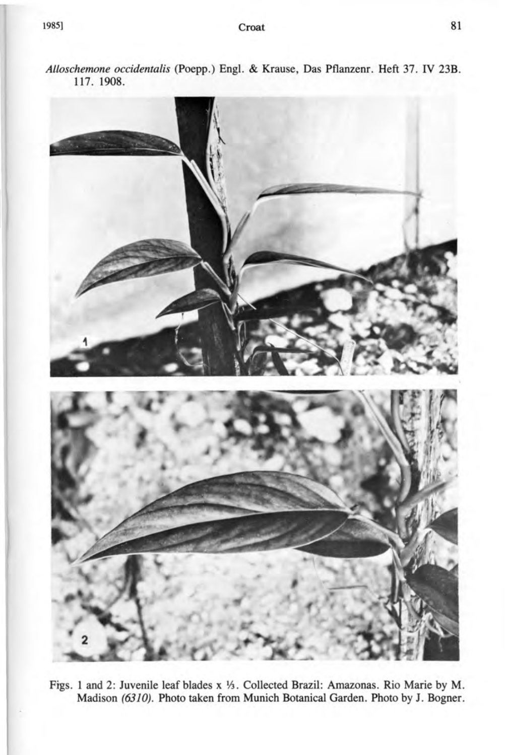

*Alloschemone occidentalis* (Poepp.) Engl. & Krause, Das Pflanzenr. Heft 37. IV 23B. 117. 1908.

Figs. 1 and 2: Juvenile leaf blades x Y3. Collected Brazil: Amazonas. Rio Marie by M. Madison (6310). Photo taken from Munich Botanical Garden. Photo by J. Bogner.